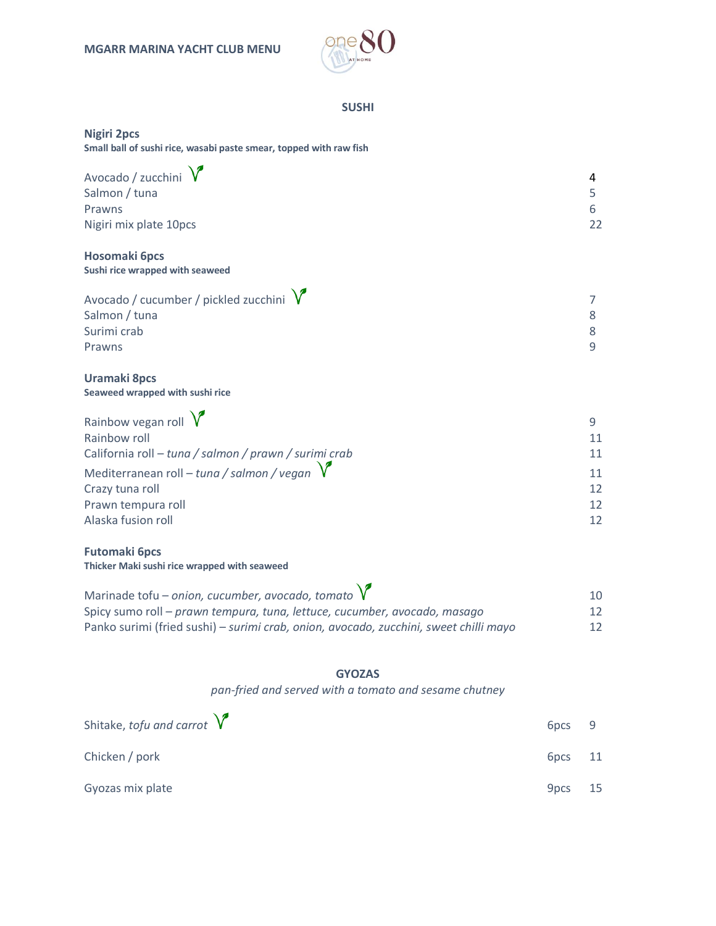

## **SUSHI**

### **Nigiri 2pcs**

**Small ball of sushi rice, wasabi paste smear, topped with raw fish**

| Avocado / zucchini $\sqrt{\ }$ | 4  |
|--------------------------------|----|
| Salmon / tuna                  |    |
| Prawns                         | 6  |
| Nigiri mix plate 10pcs         | 22 |

#### **Hosomaki 6pcs Sushi rice wrapped with seaweed**

Avocado / cucumber / pickled zucchini  $\sqrt{7}$ Salmon / tuna 8 Surimi crab 8 Prawns **9** 

## **Uramaki 8pcs Seaweed wrapped with sushi rice**

| Rainbow vegan roll $\sqrt{\ }$                         |    |
|--------------------------------------------------------|----|
| Rainbow roll                                           |    |
| California roll - tuna / salmon / prawn / surimi crab  | 11 |
| Mediterranean roll – tuna / salmon / vegan $\sqrt{\ }$ |    |
| Crazy tuna roll                                        | 12 |
| Prawn tempura roll                                     | 12 |
| Alaska fusion roll                                     |    |

#### **Futomaki 6pcs Thicker Maki sushi rice wrapped with seaweed**

| Marinade tofu – onion, cucumber, avocado, tomato $V$                                  | 10              |
|---------------------------------------------------------------------------------------|-----------------|
| Spicy sumo roll – prawn tempura, tuna, lettuce, cucumber, avocado, masago             | 12 <sup>°</sup> |
| Panko surimi (fried sushi) – surimi crab, onion, avocado, zucchini, sweet chilli mayo | 12 <sup>°</sup> |

# **GYOZAS**

*pan-fried and served with a tomato and sesame chutney*

| Shitake, tofu and carrot $\sqrt{\ }$ | 6 <sub>pcs</sub> |     |
|--------------------------------------|------------------|-----|
| Chicken / pork                       | 6 <sub>pcs</sub> | 11  |
| Gyozas mix plate                     | 9 <sub>pcs</sub> | -15 |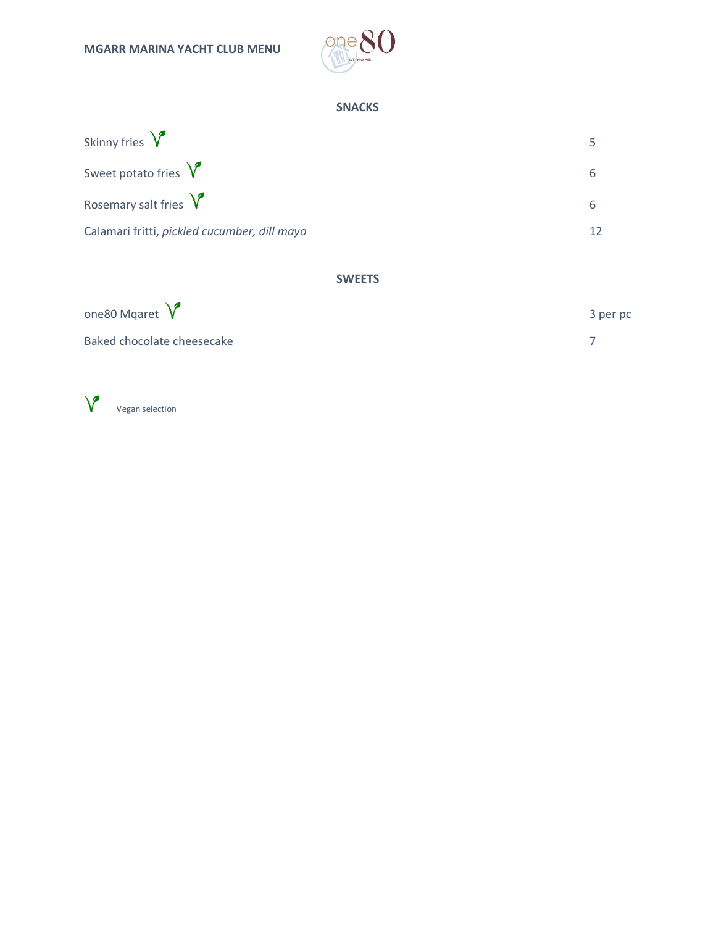

# **SNACKS**

| Skinny fries $\sqrt{\ }$                     |   |
|----------------------------------------------|---|
| Sweet potato fries $\sqrt{\ }$               |   |
| Rosemary salt fries $\sqrt{\ }$              | 6 |
| Calamari fritti, pickled cucumber, dill mayo |   |

# **SWEETS**

| one80 Mgaret $\sqrt{\ }$   | 3 per pc |
|----------------------------|----------|
| Baked chocolate cheesecake |          |

 $\sqrt{\phantom{a}}$  Vegan selection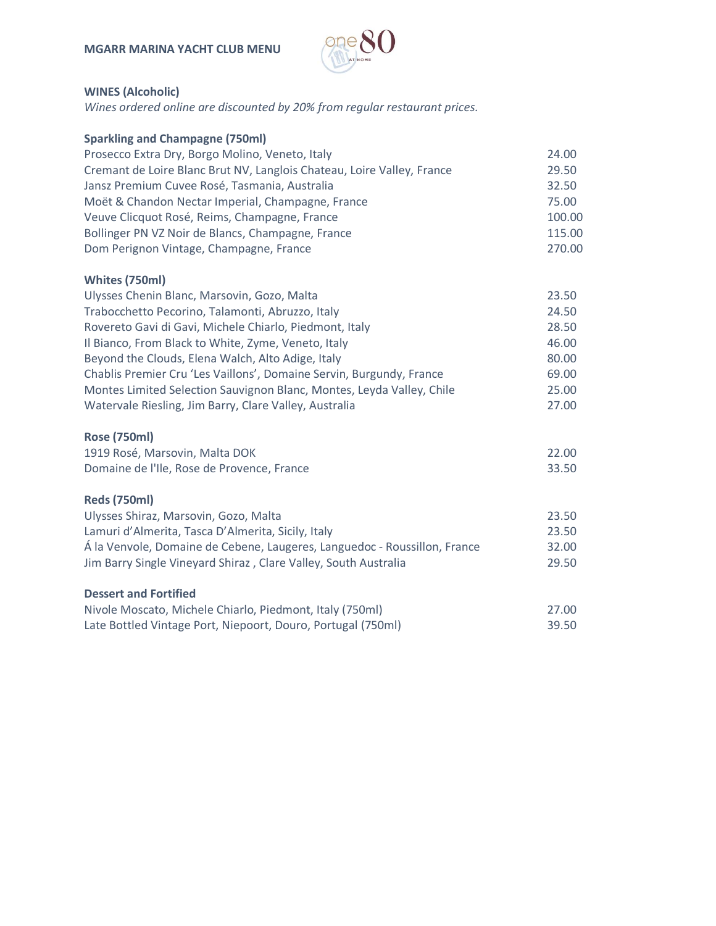

# **WINES (Alcoholic)**

*Wines ordered online are discounted by 20% from regular restaurant prices.*

| <b>Sparkling and Champagne (750ml)</b>                                    |        |
|---------------------------------------------------------------------------|--------|
| Prosecco Extra Dry, Borgo Molino, Veneto, Italy                           | 24.00  |
| Cremant de Loire Blanc Brut NV, Langlois Chateau, Loire Valley, France    | 29.50  |
| Jansz Premium Cuvee Rosé, Tasmania, Australia                             | 32.50  |
| Moët & Chandon Nectar Imperial, Champagne, France                         | 75.00  |
| Veuve Clicquot Rosé, Reims, Champagne, France                             | 100.00 |
| Bollinger PN VZ Noir de Blancs, Champagne, France                         | 115.00 |
| Dom Perignon Vintage, Champagne, France                                   | 270.00 |
| Whites (750ml)                                                            |        |
| Ulysses Chenin Blanc, Marsovin, Gozo, Malta                               | 23.50  |
| Trabocchetto Pecorino, Talamonti, Abruzzo, Italy                          | 24.50  |
| Rovereto Gavi di Gavi, Michele Chiarlo, Piedmont, Italy                   | 28.50  |
| Il Bianco, From Black to White, Zyme, Veneto, Italy                       | 46.00  |
| Beyond the Clouds, Elena Walch, Alto Adige, Italy                         | 80.00  |
| Chablis Premier Cru 'Les Vaillons', Domaine Servin, Burgundy, France      | 69.00  |
| Montes Limited Selection Sauvignon Blanc, Montes, Leyda Valley, Chile     | 25.00  |
| Watervale Riesling, Jim Barry, Clare Valley, Australia                    | 27.00  |
| <b>Rose (750ml)</b>                                                       |        |
| 1919 Rosé, Marsovin, Malta DOK                                            | 22.00  |
| Domaine de l'Ile, Rose de Provence, France                                | 33.50  |
| <b>Reds (750ml)</b>                                                       |        |
| Ulysses Shiraz, Marsovin, Gozo, Malta                                     | 23.50  |
| Lamuri d'Almerita, Tasca D'Almerita, Sicily, Italy                        | 23.50  |
| Á la Venvole, Domaine de Cebene, Laugeres, Languedoc - Roussillon, France | 32.00  |
| Jim Barry Single Vineyard Shiraz, Clare Valley, South Australia           | 29.50  |
| <b>Dessert and Fortified</b>                                              |        |
| Nivole Moscato, Michele Chiarlo, Piedmont, Italy (750ml)                  | 27.00  |
| Late Bottled Vintage Port, Niepoort, Douro, Portugal (750ml)              | 39.50  |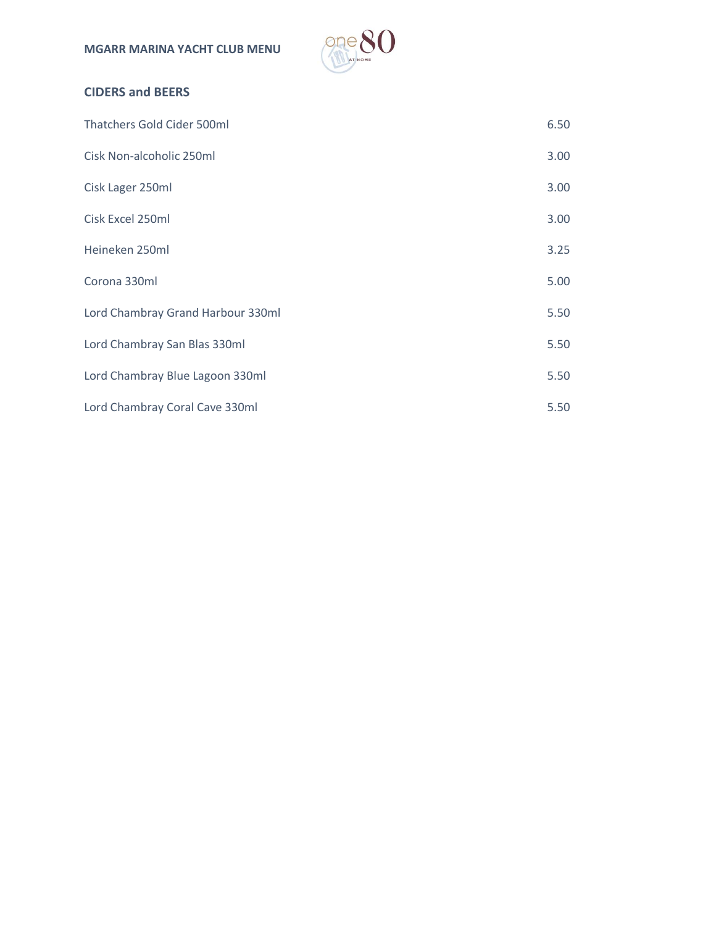

# **CIDERS and BEERS**

| Thatchers Gold Cider 500ml        | 6.50 |
|-----------------------------------|------|
| Cisk Non-alcoholic 250ml          | 3.00 |
| Cisk Lager 250ml                  | 3.00 |
| Cisk Excel 250ml                  | 3.00 |
| Heineken 250ml                    | 3.25 |
| Corona 330ml                      | 5.00 |
| Lord Chambray Grand Harbour 330ml | 5.50 |
| Lord Chambray San Blas 330ml      | 5.50 |
| Lord Chambray Blue Lagoon 330ml   | 5.50 |
| Lord Chambray Coral Cave 330ml    | 5.50 |